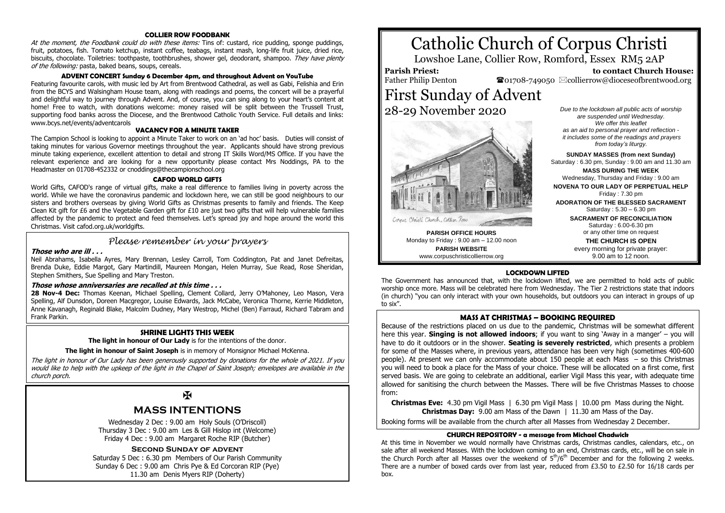#### **COLLIER ROW FOODBANK**

At the moment, the Foodbank could do with these items: Tins of: custard, rice pudding, sponge puddings, fruit, potatoes, fish. Tomato ketchup, instant coffee, teabags, instant mash, long-life fruit juice, dried rice, biscuits, chocolate. Toiletries: toothpaste, toothbrushes, shower gel, deodorant, shampoo. They have plenty of the following: pasta, baked beans, soups, cereals.

#### **ADVENT CONCERT Sunday 6 December 4pm, and throughout Advent on YouTube**

Featuring favourite carols, with music led by Art from Brentwood Cathedral, as well as Gabi, Felishia and Erin from the BCYS and Walsingham House team, along with readings and poems, the concert will be a prayerful and delightful way to journey through Advent. And, of course, you can sing along to your heart's content at home! Free to watch, with donations welcome: money raised will be split between the Trussell Trust, supporting food banks across the Diocese, and the Brentwood Catholic Youth Service. Full details and links: www.bcys.net/events/adventcarols

#### **VACANCY FOR A MINUTE TAKER**

The Campion School is looking to appoint a Minute Taker to work on an 'ad hoc' basis. Duties will consist of taking minutes for various Governor meetings throughout the year. Applicants should have strong previous minute taking experience, excellent attention to detail and strong IT Skills Word/MS Office. If you have the relevant experience and are looking for a new opportunity please contact Mrs Noddings, PA to the Headmaster on 01708-452332 or cnoddings@thecampionschool.org

#### **CAFOD WORLD GIFTS**

World Gifts, CAFOD's range of virtual gifts, make a real difference to families living in poverty across the world. While we have the coronavirus pandemic and lockdown here, we can still be good neighbours to our sisters and brothers overseas by giving World Gifts as Christmas presents to family and friends. The Keep Clean Kit gift for £6 and the Vegetable Garden gift for  $£10$  are just two gifts that will help vulnerable families affected by the pandemic to protect and feed themselves. Let's spread joy and hope around the world this Christmas. Visit cafod.org.uk/worldgifts.

## *Please remember in your prayers*

#### **Those who are ill . . .**

Neil Abrahams, Isabella Ayres, Mary Brennan, Lesley Carroll, Tom Coddington, Pat and Janet Defreitas, Brenda Duke, Eddie Margot, Gary Martindill, Maureen Mongan, Helen Murray, Sue Read, Rose Sheridan, Stephen Smithers, Sue Spelling and Mary Treston.

#### **Those whose anniversaries are recalled at this time . . .**

**28 Nov-4 Dec:** Thomas Keenan, Michael Spelling, Clement Collard, Jerry O'Mahoney, Leo Mason, Vera Spelling, Alf Dunsdon, Doreen Macgregor, Louise Edwards, Jack McCabe, Veronica Thorne, Kerrie Middleton, Anne Kavanagh, Reginald Blake, Malcolm Dudney, Mary Westrop, Michel (Ben) Farraud, Richard Tabram and Frank Parkin.

#### **SHRINE LIGHTS THIS WEEK**

**The light in honour of Our Lady** is for the intentions of the donor.

**The light in honour of Saint Joseph** is in memory of Monsignor Michael McKenna.

The light in honour of Our Lady has been generously supported by donations for the whole of 2021. If you would like to help with the upkeep of the light in the Chapel of Saint Joseph; envelopes are available in the church porch.

## $\overline{M}$

## **MASS INTENTIONS**

Wednesday 2 Dec : 9.00 am Holy Souls (O'Driscoll) Thursday 3 Dec : 9.00 am Les & Gill Hislop int (Welcome) Friday 4 Dec : 9.00 am Margaret Roche RIP (Butcher)

#### **Second Sunday of advent**

Saturday 5 Dec : 6.30 pm Members of Our Parish Community Sunday 6 Dec : 9.00 am Chris Pye & Ed Corcoran RIP (Pye) 11.30 am Denis Myers RIP (Doherty)

# Catholic Church of Corpus Christi

Lowshoe Lane, Collier Row, Romford, Essex RM5 2AP

### **Parish Priest:**

Father Philip Denton

 **to contact Church House:**  $\bullet$ 01708-749050  $\boxtimes$ collierrow@dioceseofbrentwood.org

First Sunday of Advent 28-29 November 2020



**PARISH OFFICE HOURS** Monday to Friday : 9.00 am – 12.00 noon **PARISH WEBSITE** www.corpuschristicollierrow.org

*Due to the lockdown all public acts of worship are suspended until Wednesday. We offer this leaflet as an aid to personal prayer and reflection it includes some of the readings and prayers from today's liturgy.*

**SUNDAY MASSES (from next Sunday)** Saturday : 6.30 pm, Sunday : 9.00 am and 11.30 am **MASS DURING THE WEEK** Wednesday, Thursday and Friday : 9.00 am **NOVENA TO OUR LADY OF PERPETUAL HELP** Friday : 7.30 pm **ADORATION OF THE BLESSED SACRAMENT** Saturday : 5.30 – 6.30 pm **SACRAMENT OF RECONCILIATION** Saturday : 6.00-6.30 pm

or any other time on request **THE CHURCH IS OPEN** every morning for private prayer: 9.00 am to 12 noon.

#### **LOCKDOWN LIFTED**

The Government has announced that, with the lockdown lifted, we are permitted to hold acts of public worship once more. Mass will be celebrated here from Wednesday. The Tier 2 restrictions state that indoors (in church) "you can only interact with your own households, but outdoors you can interact in groups of up to six".

#### **MASS AT CHRISTMAS – BOOKING REQUIRED**

Because of the restrictions placed on us due to the pandemic, Christmas will be somewhat different here this year. **Singing is not allowed indoors**; if you want to sing 'Away in a manger' – you will have to do it outdoors or in the shower. **Seating is severely restricted**, which presents a problem for some of the Masses where, in previous years, attendance has been very high (sometimes 400-600 people). At present we can only accommodate about 150 people at each Mass – so this Christmas you will need to book a place for the Mass of your choice. These will be allocated on a first come, first served basis. We are going to celebrate an additional, earlier Vigil Mass this year, with adequate time allowed for sanitising the church between the Masses. There will be five Christmas Masses to choose from:

**Christmas Eve:** 4.30 pm Vigil Mass | 6.30 pm Vigil Mass | 10.00 pm Mass during the Night. **Christmas Day:** 9.00 am Mass of the Dawn | 11.30 am Mass of the Day.

Booking forms will be available from the church after all Masses from Wednesday 2 December.

#### **CHURCH REPOSITORY - a message from Michael Chadwick**

At this time in November we would normally have Christmas cards, Christmas candles, calendars, etc., on sale after all weekend Masses. With the lockdown coming to an end, Christmas cards, etc., will be on sale in the Church Porch after all Masses over the weekend of  $5<sup>th</sup>/6<sup>th</sup>$  December and for the following 2 weeks. There are a number of boxed cards over from last year, reduced from  $f3.50$  to  $f2.50$  for 16/18 cards per box.